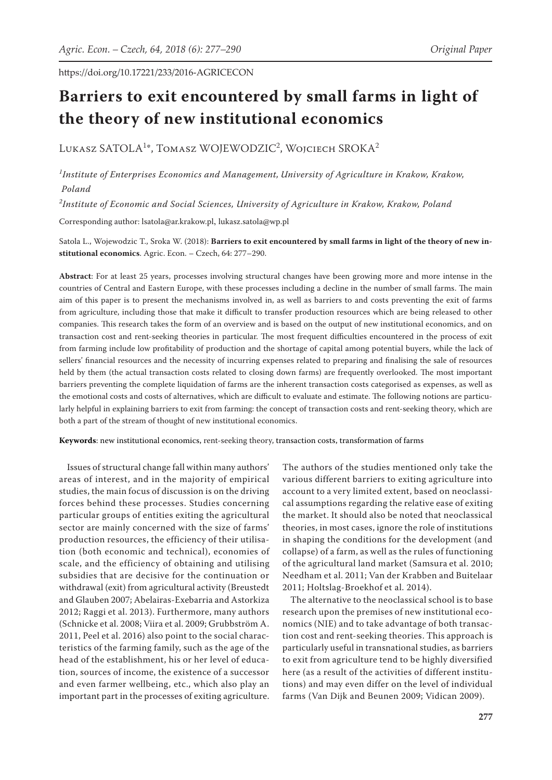# **Barriers to exit encountered by small farms in light of the theory of new institutional economics**

Lukasz SATOLA $^{1*}$ , Tomasz WOJEWODZIC $^{2}$ , Wojciech SROKA $^{2}$ 

*1 Institute of Enterprises Economics and Management, University of Agriculture in Krakow, Krakow, Poland*

*2 Institute of Economic and Social Sciences, University of Agriculture in Krakow, Krakow, Poland*

Corresponding author: lsatola@ar.krakow.pl, lukasz.satola@wp.pl

Satola L., Wojewodzic T., Sroka W. (2018): **Barriers to exit encountered by small farms in light of the theory of new institutional economics**. Agric. Econ. – Czech, 64: 277–290.

**Abstract**: For at least 25 years, processes involving structural changes have been growing more and more intense in the countries of Central and Eastern Europe, with these processes including a decline in the number of small farms. The main aim of this paper is to present the mechanisms involved in, as well as barriers to and costs preventing the exit of farms from agriculture, including those that make it difficult to transfer production resources which are being released to other companies. This research takes the form of an overview and is based on the output of new institutional economics, and on transaction cost and rent-seeking theories in particular. The most frequent difficulties encountered in the process of exit from farming include low profitability of production and the shortage of capital among potential buyers, while the lack of sellers' financial resources and the necessity of incurring expenses related to preparing and finalising the sale of resources held by them (the actual transaction costs related to closing down farms) are frequently overlooked. The most important barriers preventing the complete liquidation of farms are the inherent transaction costs categorised as expenses, as well as the emotional costs and costs of alternatives, which are difficult to evaluate and estimate. The following notions are particularly helpful in explaining barriers to exit from farming: the concept of transaction costs and rent-seeking theory, which are both a part of the stream of thought of new institutional economics.

**Keywords**: new institutional economics, rent-seeking theory, transaction costs, transformation of farms

Issues of structural change fall within many authors' areas of interest, and in the majority of empirical studies, the main focus of discussion is on the driving forces behind these processes. Studies concerning particular groups of entities exiting the agricultural sector are mainly concerned with the size of farms' production resources, the efficiency of their utilisation (both economic and technical), economies of scale, and the efficiency of obtaining and utilising subsidies that are decisive for the continuation or withdrawal (exit) from agricultural activity (Breustedt and Glauben 2007; Abelairas-Exebarria and Astorkiza 2012; Raggi et al. 2013). Furthermore, many authors (Schnicke et al. 2008; Viira et al. 2009; Grubbström A. 2011, Peel et al. 2016) also point to the social characteristics of the farming family, such as the age of the head of the establishment, his or her level of education, sources of income, the existence of a successor and even farmer wellbeing, etc., which also play an important part in the processes of exiting agriculture.

The authors of the studies mentioned only take the various different barriers to exiting agriculture into account to a very limited extent, based on neoclassical assumptions regarding the relative ease of exiting the market. It should also be noted that neoclassical theories, in most cases, ignore the role of institutions in shaping the conditions for the development (and collapse) of a farm, as well as the rules of functioning of the agricultural land market (Samsura et al. 2010; Needham et al. 2011; Van der Krabben and Buitelaar 2011; Holtslag-Broekhof et al. 2014).

The alternative to the neoclassical school is to base research upon the premises of new institutional economics (NIE) and to take advantage of both transaction cost and rent-seeking theories. This approach is particularly useful in transnational studies, as barriers to exit from agriculture tend to be highly diversified here (as a result of the activities of different institutions) and may even differ on the level of individual farms (Van Dijk and Beunen 2009; Vidican 2009).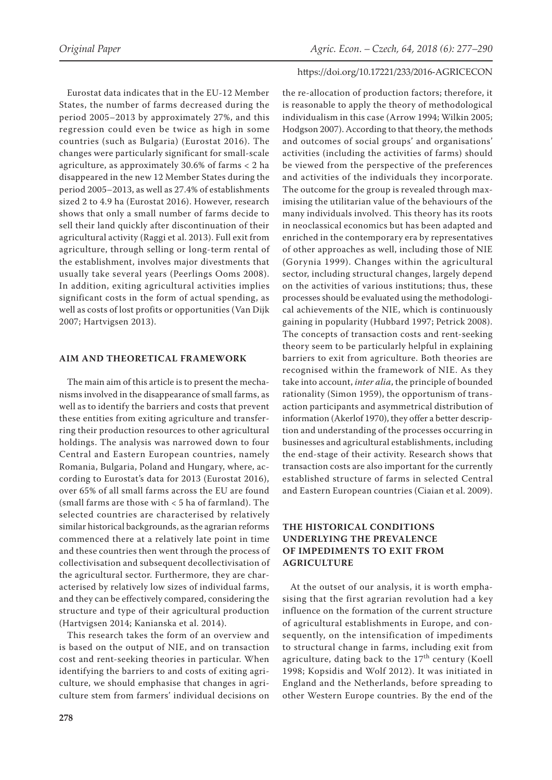Eurostat data indicates that in the EU-12 Member States, the number of farms decreased during the period 2005–2013 by approximately 27%, and this regression could even be twice as high in some countries (such as Bulgaria) (Eurostat 2016). The changes were particularly significant for small-scale agriculture, as approximately 30.6% of farms < 2 ha disappeared in the new 12 Member States during the period 2005–2013, as well as 27.4% of establishments sized 2 to 4.9 ha (Eurostat 2016). However, research shows that only a small number of farms decide to sell their land quickly after discontinuation of their agricultural activity (Raggi et al. 2013). Full exit from agriculture, through selling or long-term rental of the establishment, involves major divestments that usually take several years (Peerlings Ooms 2008). In addition, exiting agricultural activities implies significant costs in the form of actual spending, as well as costs of lost profits or opportunities (Van Dijk 2007; Hartvigsen 2013).

## **AIM AND THEORETICAL FRAMEWORK**

The main aim of this article is to present the mechanisms involved in the disappearance of small farms, as well as to identify the barriers and costs that prevent these entities from exiting agriculture and transferring their production resources to other agricultural holdings. The analysis was narrowed down to four Central and Eastern European countries, namely Romania, Bulgaria, Poland and Hungary, where, according to Eurostat's data for 2013 (Eurostat 2016), over 65% of all small farms across the EU are found (small farms are those with < 5 ha of farmland). The selected countries are characterised by relatively similar historical backgrounds, as the agrarian reforms commenced there at a relatively late point in time and these countries then went through the process of collectivisation and subsequent decollectivisation of the agricultural sector. Furthermore, they are characterised by relatively low sizes of individual farms, and they can be effectively compared, considering the structure and type of their agricultural production (Hartvigsen 2014; Kanianska et al. 2014).

This research takes the form of an overview and is based on the output of NIE, and on transaction cost and rent-seeking theories in particular. When identifying the barriers to and costs of exiting agriculture, we should emphasise that changes in agriculture stem from farmers' individual decisions on

# https://doi.org/10.17221/233/2016-AGRICECON

the re-allocation of production factors; therefore, it is reasonable to apply the theory of methodological individualism in this case (Arrow 1994; Wilkin 2005; Hodgson 2007). According to that theory, the methods and outcomes of social groups' and organisations' activities (including the activities of farms) should be viewed from the perspective of the preferences and activities of the individuals they incorporate. The outcome for the group is revealed through maximising the utilitarian value of the behaviours of the many individuals involved. This theory has its roots in neoclassical economics but has been adapted and enriched in the contemporary era by representatives of other approaches as well, including those of NIE (Gorynia 1999). Changes within the agricultural sector, including structural changes, largely depend on the activities of various institutions; thus, these processes should be evaluated using the methodological achievements of the NIE, which is continuously gaining in popularity (Hubbard 1997; Petrick 2008). The concepts of transaction costs and rent-seeking theory seem to be particularly helpful in explaining barriers to exit from agriculture. Both theories are recognised within the framework of NIE. As they take into account, *inter alia*, the principle of bounded rationality (Simon 1959), the opportunism of transaction participants and asymmetrical distribution of information (Akerlof 1970), they offer a better description and understanding of the processes occurring in businesses and agricultural establishments, including the end-stage of their activity. Research shows that transaction costs are also important for the currently established structure of farms in selected Central and Eastern European countries (Ciaian et al. 2009).

# **THE HISTORICAL CONDITIONS UNDERLYING THE PREVALENCE OF IMPEDIMENTS TO EXIT FROM AGRICULTURE**

At the outset of our analysis, it is worth emphasising that the first agrarian revolution had a key influence on the formation of the current structure of agricultural establishments in Europe, and consequently, on the intensification of impediments to structural change in farms, including exit from agriculture, dating back to the  $17<sup>th</sup>$  century (Koell 1998; Kopsidis and Wolf 2012). It was initiated in England and the Netherlands, before spreading to other Western Europe countries. By the end of the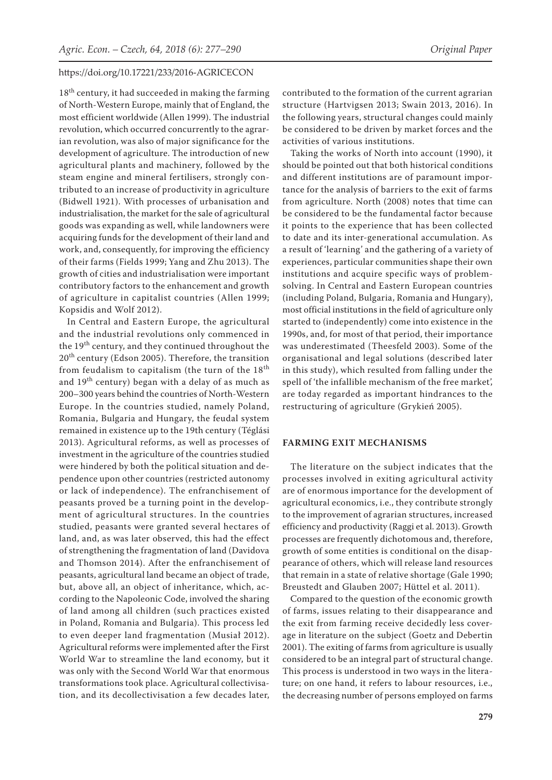$18<sup>th</sup>$  century, it had succeeded in making the farming of North-Western Europe, mainly that of England, the most efficient worldwide (Allen 1999). The industrial revolution, which occurred concurrently to the agrarian revolution, was also of major significance for the development of agriculture. The introduction of new agricultural plants and machinery, followed by the steam engine and mineral fertilisers, strongly contributed to an increase of productivity in agriculture (Bidwell 1921). With processes of urbanisation and industrialisation, the market for the sale of agricultural goods was expanding as well, while landowners were acquiring funds for the development of their land and work, and, consequently, for improving the efficiency of their farms (Fields 1999; Yang and Zhu 2013). The growth of cities and industrialisation were important contributory factors to the enhancement and growth of agriculture in capitalist countries (Allen 1999; Kopsidis and Wolf 2012).

In Central and Eastern Europe, the agricultural and the industrial revolutions only commenced in the 19<sup>th</sup> century, and they continued throughout the  $20<sup>th</sup>$  century (Edson 2005). Therefore, the transition from feudalism to capitalism (the turn of the  $18<sup>th</sup>$ and 19th century) began with a delay of as much as 200–300 years behind the countries of North-Western Europe. In the countries studied, namely Poland, Romania, Bulgaria and Hungary, the feudal system remained in existence up to the 19th century (Téglási 2013). Agricultural reforms, as well as processes of investment in the agriculture of the countries studied were hindered by both the political situation and dependence upon other countries (restricted autonomy or lack of independence). The enfranchisement of peasants proved be a turning point in the development of agricultural structures. In the countries studied, peasants were granted several hectares of land, and, as was later observed, this had the effect of strengthening the fragmentation of land (Davidova and Thomson 2014). After the enfranchisement of peasants, agricultural land became an object of trade, but, above all, an object of inheritance, which, according to the Napoleonic Code, involved the sharing of land among all children (such practices existed in Poland, Romania and Bulgaria). This process led to even deeper land fragmentation (Musiał 2012). Agricultural reforms were implemented after the First World War to streamline the land economy, but it was only with the Second World War that enormous transformations took place. Agricultural collectivisation, and its decollectivisation a few decades later,

contributed to the formation of the current agrarian structure (Hartvigsen 2013; Swain 2013, 2016). In the following years, structural changes could mainly be considered to be driven by market forces and the activities of various institutions.

Taking the works of North into account (1990), it should be pointed out that both historical conditions and different institutions are of paramount importance for the analysis of barriers to the exit of farms from agriculture. North (2008) notes that time can be considered to be the fundamental factor because it points to the experience that has been collected to date and its inter-generational accumulation. As a result of 'learning' and the gathering of a variety of experiences, particular communities shape their own institutions and acquire specific ways of problemsolving. In Central and Eastern European countries (including Poland, Bulgaria, Romania and Hungary), most official institutions in the field of agriculture only started to (independently) come into existence in the 1990s, and, for most of that period, their importance was underestimated (Theesfeld 2003). Some of the organisational and legal solutions (described later in this study), which resulted from falling under the spell of 'the infallible mechanism of the free market', are today regarded as important hindrances to the restructuring of agriculture (Grykień 2005).

## **FARMING EXIT MECHANISMS**

The literature on the subject indicates that the processes involved in exiting agricultural activity are of enormous importance for the development of agricultural economics, i.e., they contribute strongly to the improvement of agrarian structures, increased efficiency and productivity (Raggi et al. 2013). Growth processes are frequently dichotomous and, therefore, growth of some entities is conditional on the disappearance of others, which will release land resources that remain in a state of relative shortage (Gale 1990; Breustedt and Glauben 2007; Hüttel et al. 2011).

Compared to the question of the economic growth of farms, issues relating to their disappearance and the exit from farming receive decidedly less coverage in literature on the subject (Goetz and Debertin 2001). The exiting of farms from agriculture is usually considered to be an integral part of structural change. This process is understood in two ways in the literature; on one hand, it refers to labour resources, i.e., the decreasing number of persons employed on farms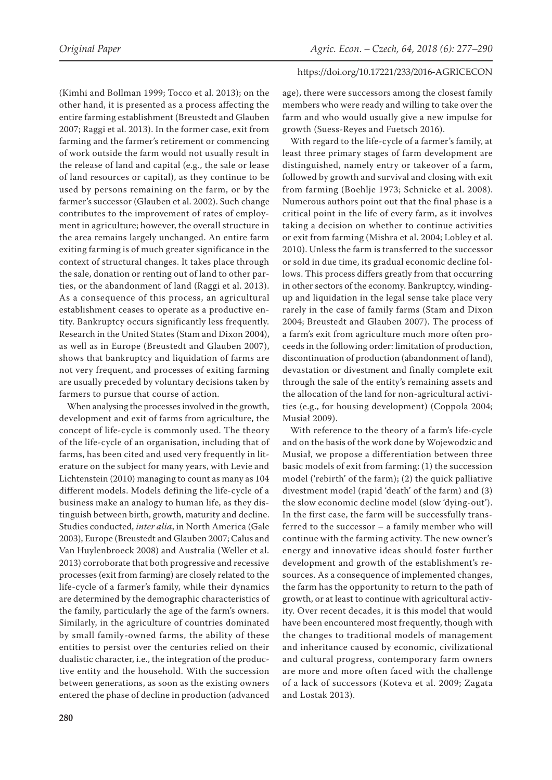(Kimhi and Bollman 1999; Tocco et al. 2013); on the other hand, it is presented as a process affecting the entire farming establishment (Breustedt and Glauben 2007; Raggi et al. 2013). In the former case, exit from farming and the farmer's retirement or commencing of work outside the farm would not usually result in the release of land and capital (e.g., the sale or lease of land resources or capital), as they continue to be used by persons remaining on the farm, or by the farmer's successor (Glauben et al. 2002). Such change contributes to the improvement of rates of employment in agriculture; however, the overall structure in the area remains largely unchanged. An entire farm exiting farming is of much greater significance in the context of structural changes. It takes place through the sale, donation or renting out of land to other parties, or the abandonment of land (Raggi et al. 2013). As a consequence of this process, an agricultural establishment ceases to operate as a productive entity. Bankruptcy occurs significantly less frequently. Research in the United States (Stam and Dixon 2004), as well as in Europe (Breustedt and Glauben 2007), shows that bankruptcy and liquidation of farms are not very frequent, and processes of exiting farming are usually preceded by voluntary decisions taken by farmers to pursue that course of action.

When analysing the processes involved in the growth, development and exit of farms from agriculture, the concept of life-cycle is commonly used. The theory of the life-cycle of an organisation, including that of farms, has been cited and used very frequently in literature on the subject for many years, with Levie and Lichtenstein (2010) managing to count as many as 104 different models. Models defining the life-cycle of a business make an analogy to human life, as they distinguish between birth, growth, maturity and decline. Studies conducted, *inter alia*, in North America (Gale 2003), Europe (Breustedt and Glauben 2007; Calus and Van Huylenbroeck 2008) and Australia (Weller et al. 2013) corroborate that both progressive and recessive processes (exit from farming) are closely related to the life-cycle of a farmer's family, while their dynamics are determined by the demographic characteristics of the family, particularly the age of the farm's owners. Similarly, in the agriculture of countries dominated by small family-owned farms, the ability of these entities to persist over the centuries relied on their dualistic character, i.e., the integration of the productive entity and the household. With the succession between generations, as soon as the existing owners entered the phase of decline in production (advanced

## https://doi.org/10.17221/233/2016-AGRICECON

age), there were successors among the closest family members who were ready and willing to take over the farm and who would usually give a new impulse for growth (Suess-Reyes and Fuetsch 2016).

With regard to the life-cycle of a farmer's family, at least three primary stages of farm development are distinguished, namely entry or takeover of a farm, followed by growth and survival and closing with exit from farming (Boehlje 1973; Schnicke et al. 2008). Numerous authors point out that the final phase is a critical point in the life of every farm, as it involves taking a decision on whether to continue activities or exit from farming (Mishra et al. 2004; Lobley et al. 2010). Unless the farm is transferred to the successor or sold in due time, its gradual economic decline follows. This process differs greatly from that occurring in other sectors of the economy. Bankruptcy, windingup and liquidation in the legal sense take place very rarely in the case of family farms (Stam and Dixon 2004; Breustedt and Glauben 2007). The process of a farm's exit from agriculture much more often proceeds in the following order: limitation of production, discontinuation of production (abandonment of land), devastation or divestment and finally complete exit through the sale of the entity's remaining assets and the allocation of the land for non-agricultural activities (e.g., for housing development) (Coppola 2004; Musiał 2009).

With reference to the theory of a farm's life-cycle and on the basis of the work done by Wojewodzic and Musiał, we propose a differentiation between three basic models of exit from farming: (1) the succession model ('rebirth' of the farm); (2) the quick palliative divestment model (rapid 'death' of the farm) and (3) the slow economic decline model (slow 'dying-out'). In the first case, the farm will be successfully transferred to the successor – a family member who will continue with the farming activity. The new owner's energy and innovative ideas should foster further development and growth of the establishment's resources. As a consequence of implemented changes, the farm has the opportunity to return to the path of growth, or at least to continue with agricultural activity. Over recent decades, it is this model that would have been encountered most frequently, though with the changes to traditional models of management and inheritance caused by economic, civilizational and cultural progress, contemporary farm owners are more and more often faced with the challenge of a lack of successors (Koteva et al. 2009; Zagata and Lostak 2013).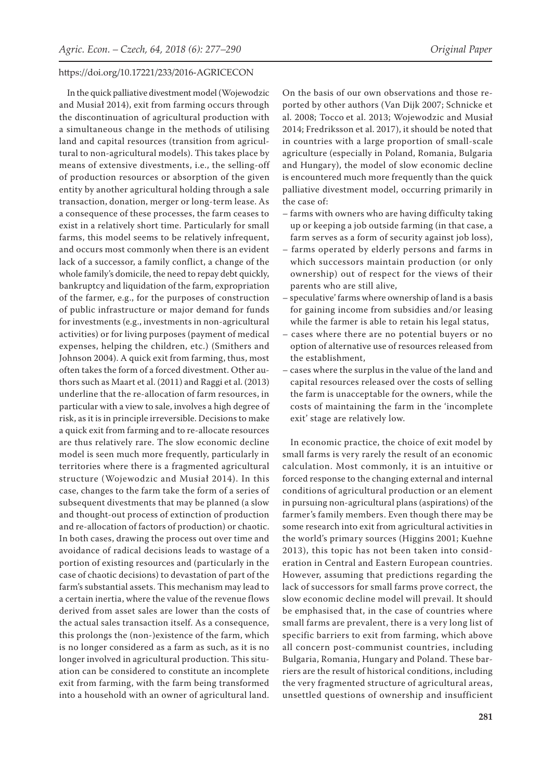In the quick palliative divestment model (Wojewodzic and Musiał 2014), exit from farming occurs through the discontinuation of agricultural production with a simultaneous change in the methods of utilising land and capital resources (transition from agricultural to non-agricultural models). This takes place by means of extensive divestments, i.e., the selling-off of production resources or absorption of the given entity by another agricultural holding through a sale transaction, donation, merger or long-term lease. As a consequence of these processes, the farm ceases to exist in a relatively short time. Particularly for small farms, this model seems to be relatively infrequent, and occurs most commonly when there is an evident lack of a successor, a family conflict, a change of the whole family's domicile, the need to repay debt quickly, bankruptcy and liquidation of the farm, expropriation of the farmer, e.g., for the purposes of construction of public infrastructure or major demand for funds for investments (e.g., investments in non-agricultural activities) or for living purposes (payment of medical expenses, helping the children, etc.) (Smithers and Johnson 2004). A quick exit from farming, thus, most often takes the form of a forced divestment. Other authors such as Maart et al. (2011) and Raggi et al. (2013) underline that the re-allocation of farm resources, in particular with a view to sale, involves a high degree of risk, as it is in principle irreversible. Decisions to make a quick exit from farming and to re-allocate resources are thus relatively rare. The slow economic decline model is seen much more frequently, particularly in territories where there is a fragmented agricultural structure (Wojewodzic and Musiał 2014). In this case, changes to the farm take the form of a series of subsequent divestments that may be planned (a slow and thought-out process of extinction of production and re-allocation of factors of production) or chaotic. In both cases, drawing the process out over time and avoidance of radical decisions leads to wastage of a portion of existing resources and (particularly in the case of chaotic decisions) to devastation of part of the farm's substantial assets. This mechanism may lead to a certain inertia, where the value of the revenue flows derived from asset sales are lower than the costs of the actual sales transaction itself. As a consequence, this prolongs the (non-)existence of the farm, which is no longer considered as a farm as such, as it is no longer involved in agricultural production. This situation can be considered to constitute an incomplete exit from farming, with the farm being transformed into a household with an owner of agricultural land.

On the basis of our own observations and those reported by other authors (Van Dijk 2007; Schnicke et al. 2008; Tocco et al. 2013; Wojewodzic and Musiał 2014; Fredriksson et al. 2017), it should be noted that in countries with a large proportion of small-scale agriculture (especially in Poland, Romania, Bulgaria and Hungary), the model of slow economic decline is encountered much more frequently than the quick palliative divestment model, occurring primarily in the case of:

- farms with owners who are having difficulty taking up or keeping a job outside farming (in that case, a farm serves as a form of security against job loss),
- farms operated by elderly persons and farms in which successors maintain production (or only ownership) out of respect for the views of their parents who are still alive,
- speculative' farms where ownership of land is a basis for gaining income from subsidies and/or leasing while the farmer is able to retain his legal status,
- cases where there are no potential buyers or no option of alternative use of resources released from the establishment,
- cases where the surplus in the value of the land and capital resources released over the costs of selling the farm is unacceptable for the owners, while the costs of maintaining the farm in the 'incomplete exit' stage are relatively low.

In economic practice, the choice of exit model by small farms is very rarely the result of an economic calculation. Most commonly, it is an intuitive or forced response to the changing external and internal conditions of agricultural production or an element in pursuing non-agricultural plans (aspirations) of the farmer's family members. Even though there may be some research into exit from agricultural activities in the world's primary sources (Higgins 2001; Kuehne 2013), this topic has not been taken into consideration in Central and Eastern European countries. However, assuming that predictions regarding the lack of successors for small farms prove correct, the slow economic decline model will prevail. It should be emphasised that, in the case of countries where small farms are prevalent, there is a very long list of specific barriers to exit from farming, which above all concern post-communist countries, including Bulgaria, Romania, Hungary and Poland. These barriers are the result of historical conditions, including the very fragmented structure of agricultural areas, unsettled questions of ownership and insufficient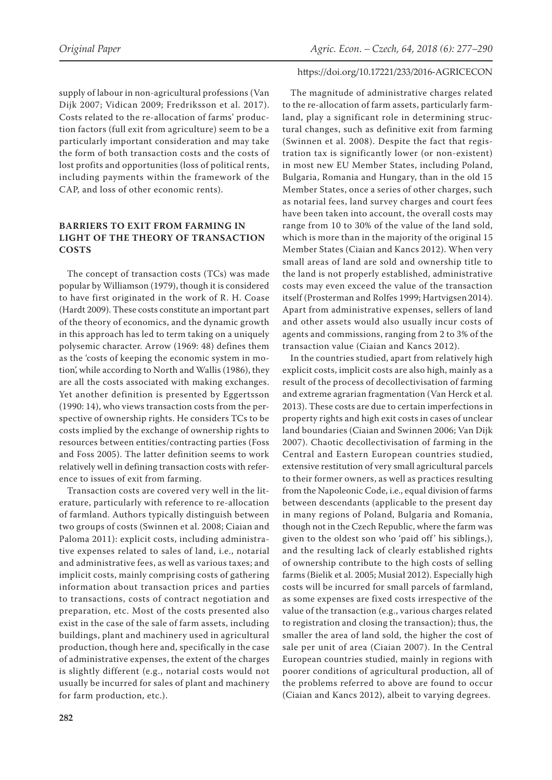supply of labour in non-agricultural professions (Van Dijk 2007; Vidican 2009; Fredriksson et al. 2017). Costs related to the re-allocation of farms' production factors (full exit from agriculture) seem to be a particularly important consideration and may take the form of both transaction costs and the costs of lost profits and opportunities (loss of political rents, including payments within the framework of the CAP, and loss of other economic rents).

# **BARRIERS TO EXIT FROM FARMING IN LIGHT OF THE THEORY OF TRANSACTION COSTS**

The concept of transaction costs (TCs) was made popular by Williamson (1979), though it is considered to have first originated in the work of R. H. Coase (Hardt 2009). These costs constitute an important part of the theory of economics, and the dynamic growth in this approach has led to term taking on a uniquely polysemic character. Arrow (1969: 48) defines them as the 'costs of keeping the economic system in motion', while according to North and Wallis (1986), they are all the costs associated with making exchanges. Yet another definition is presented by Eggertsson (1990: 14), who views transaction costs from the perspective of ownership rights. He considers TCs to be costs implied by the exchange of ownership rights to resources between entities/contracting parties (Foss and Foss 2005). The latter definition seems to work relatively well in defining transaction costs with reference to issues of exit from farming.

Transaction costs are covered very well in the literature, particularly with reference to re-allocation of farmland. Authors typically distinguish between two groups of costs (Swinnen et al. 2008; Ciaian and Paloma 2011): explicit costs, including administrative expenses related to sales of land, i.e., notarial and administrative fees, as well as various taxes; and implicit costs, mainly comprising costs of gathering information about transaction prices and parties to transactions, costs of contract negotiation and preparation, etc. Most of the costs presented also exist in the case of the sale of farm assets, including buildings, plant and machinery used in agricultural production, though here and, specifically in the case of administrative expenses, the extent of the charges is slightly different (e.g., notarial costs would not usually be incurred for sales of plant and machinery for farm production, etc.).

# https://doi.org/10.17221/233/2016-AGRICECON

The magnitude of administrative charges related to the re-allocation of farm assets, particularly farmland, play a significant role in determining structural changes, such as definitive exit from farming (Swinnen et al. 2008). Despite the fact that registration tax is significantly lower (or non-existent) in most new EU Member States, including Poland, Bulgaria, Romania and Hungary, than in the old 15 Member States, once a series of other charges, such as notarial fees, land survey charges and court fees have been taken into account, the overall costs may range from 10 to 30% of the value of the land sold, which is more than in the majority of the original 15 Member States (Ciaian and Kancs 2012). When very small areas of land are sold and ownership title to the land is not properly established, administrative costs may even exceed the value of the transaction itself (Prosterman and Rolfes 1999; Hartvigsen 2014). Apart from administrative expenses, sellers of land and other assets would also usually incur costs of agents and commissions, ranging from 2 to 3% of the transaction value (Ciaian and Kancs 2012).

In the countries studied, apart from relatively high explicit costs, implicit costs are also high, mainly as a result of the process of decollectivisation of farming and extreme agrarian fragmentation (Van Herck et al. 2013). These costs are due to certain imperfections in property rights and high exit costs in cases of unclear land boundaries (Ciaian and Swinnen 2006; Van Dijk 2007). Chaotic decollectivisation of farming in the Central and Eastern European countries studied, extensive restitution of very small agricultural parcels to their former owners, as well as practices resulting from the Napoleonic Code, i.e., equal division of farms between descendants (applicable to the present day in many regions of Poland, Bulgaria and Romania, though not in the Czech Republic, where the farm was given to the oldest son who 'paid off' his siblings,), and the resulting lack of clearly established rights of ownership contribute to the high costs of selling farms (Bielik et al. 2005; Musiał 2012). Especially high costs will be incurred for small parcels of farmland, as some expenses are fixed costs irrespective of the value of the transaction (e.g., various charges related to registration and closing the transaction); thus, the smaller the area of land sold, the higher the cost of sale per unit of area (Ciaian 2007). In the Central European countries studied, mainly in regions with poorer conditions of agricultural production, all of the problems referred to above are found to occur (Ciaian and Kancs 2012), albeit to varying degrees.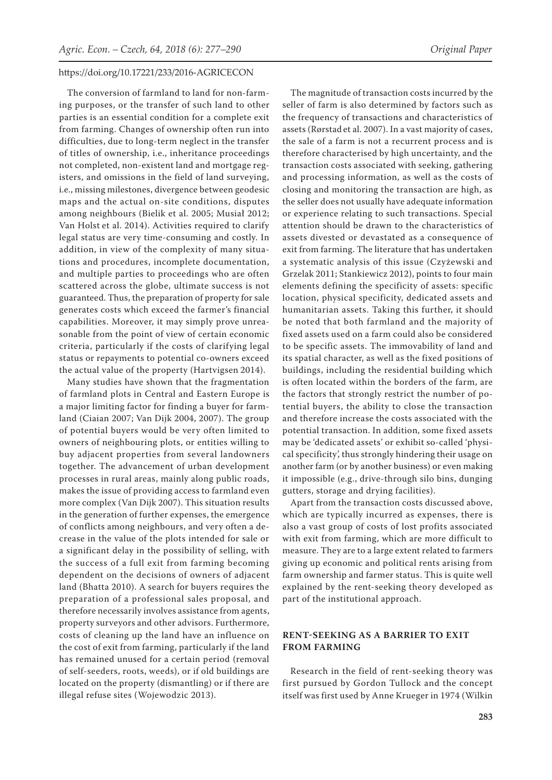The conversion of farmland to land for non-farming purposes, or the transfer of such land to other parties is an essential condition for a complete exit from farming. Changes of ownership often run into difficulties, due to long-term neglect in the transfer of titles of ownership, i.e., inheritance proceedings not completed, non-existent land and mortgage registers, and omissions in the field of land surveying, i.e., missing milestones, divergence between geodesic maps and the actual on-site conditions, disputes among neighbours (Bielik et al. 2005; Musiał 2012; Van Holst et al. 2014). Activities required to clarify legal status are very time-consuming and costly. In addition, in view of the complexity of many situations and procedures, incomplete documentation, and multiple parties to proceedings who are often scattered across the globe, ultimate success is not guaranteed. Thus, the preparation of property for sale generates costs which exceed the farmer's financial capabilities. Moreover, it may simply prove unreasonable from the point of view of certain economic criteria, particularly if the costs of clarifying legal status or repayments to potential co-owners exceed the actual value of the property (Hartvigsen 2014).

Many studies have shown that the fragmentation of farmland plots in Central and Eastern Europe is a major limiting factor for finding a buyer for farmland (Ciaian 2007; Van Dijk 2004, 2007). The group of potential buyers would be very often limited to owners of neighbouring plots, or entities willing to buy adjacent properties from several landowners together. The advancement of urban development processes in rural areas, mainly along public roads, makes the issue of providing access to farmland even more complex (Van Dijk 2007). This situation results in the generation of further expenses, the emergence of conflicts among neighbours, and very often a decrease in the value of the plots intended for sale or a significant delay in the possibility of selling, with the success of a full exit from farming becoming dependent on the decisions of owners of adjacent land (Bhatta 2010). A search for buyers requires the preparation of a professional sales proposal, and therefore necessarily involves assistance from agents, property surveyors and other advisors. Furthermore, costs of cleaning up the land have an influence on the cost of exit from farming, particularly if the land has remained unused for a certain period (removal of self-seeders, roots, weeds), or if old buildings are located on the property (dismantling) or if there are illegal refuse sites (Wojewodzic 2013).

The magnitude of transaction costs incurred by the seller of farm is also determined by factors such as the frequency of transactions and characteristics of assets (Rørstad et al. 2007). In a vast majority of cases, the sale of a farm is not a recurrent process and is therefore characterised by high uncertainty, and the transaction costs associated with seeking, gathering and processing information, as well as the costs of closing and monitoring the transaction are high, as the seller does not usually have adequate information or experience relating to such transactions. Special attention should be drawn to the characteristics of assets divested or devastated as a consequence of exit from farming. The literature that has undertaken a systematic analysis of this issue (Czyżewski and Grzelak 2011; Stankiewicz 2012), points to four main elements defining the specificity of assets: specific location, physical specificity, dedicated assets and humanitarian assets. Taking this further, it should be noted that both farmland and the majority of fixed assets used on a farm could also be considered to be specific assets. The immovability of land and its spatial character, as well as the fixed positions of buildings, including the residential building which is often located within the borders of the farm, are the factors that strongly restrict the number of potential buyers, the ability to close the transaction and therefore increase the costs associated with the potential transaction. In addition, some fixed assets may be 'dedicated assets' or exhibit so-called 'physical specificity', thus strongly hindering their usage on another farm (or by another business) or even making it impossible (e.g., drive-through silo bins, dunging gutters, storage and drying facilities).

Apart from the transaction costs discussed above, which are typically incurred as expenses, there is also a vast group of costs of lost profits associated with exit from farming, which are more difficult to measure. They are to a large extent related to farmers giving up economic and political rents arising from farm ownership and farmer status. This is quite well explained by the rent-seeking theory developed as part of the institutional approach.

# **RENT-SEEKING AS A BARRIER TO EXIT FROM FARMING**

Research in the field of rent-seeking theory was first pursued by Gordon Tullock and the concept itself was first used by Anne Krueger in 1974 (Wilkin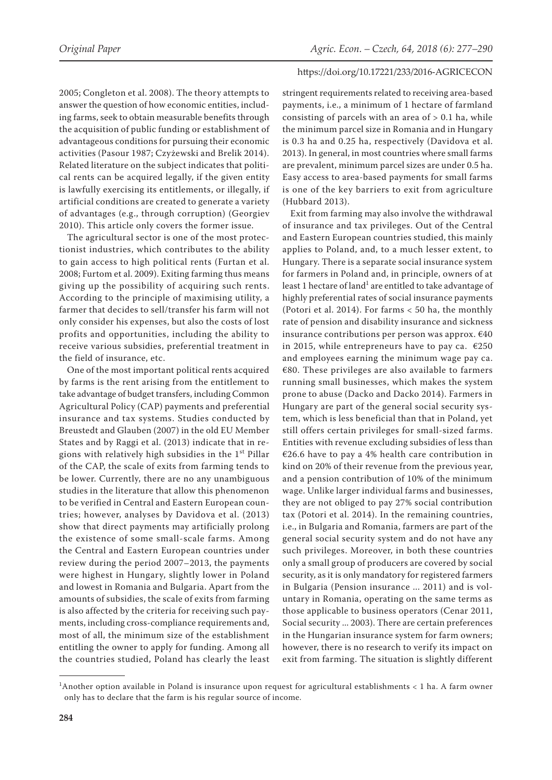2005; Congleton et al. 2008). The theory attempts to answer the question of how economic entities, including farms, seek to obtain measurable benefits through the acquisition of public funding or establishment of advantageous conditions for pursuing their economic activities (Pasour 1987; Czyżewski and Brelik 2014). Related literature on the subject indicates that political rents can be acquired legally, if the given entity is lawfully exercising its entitlements, or illegally, if artificial conditions are created to generate a variety of advantages (e.g., through corruption) (Georgiev 2010). This article only covers the former issue.

The agricultural sector is one of the most protectionist industries, which contributes to the ability to gain access to high political rents (Furtan et al. 2008; Furtom et al. 2009). Exiting farming thus means giving up the possibility of acquiring such rents. According to the principle of maximising utility, a farmer that decides to sell/transfer his farm will not only consider his expenses, but also the costs of lost profits and opportunities, including the ability to receive various subsidies, preferential treatment in the field of insurance, etc.

One of the most important political rents acquired by farms is the rent arising from the entitlement to take advantage of budget transfers, including Common Agricultural Policy (CAP) payments and preferential insurance and tax systems. Studies conducted by Breustedt and Glauben (2007) in the old EU Member States and by Raggi et al. (2013) indicate that in regions with relatively high subsidies in the  $1<sup>st</sup>$  Pillar of the CAP, the scale of exits from farming tends to be lower. Currently, there are no any unambiguous studies in the literature that allow this phenomenon to be verified in Central and Eastern European countries; however, analyses by Davidova et al. (2013) show that direct payments may artificially prolong the existence of some small-scale farms. Among the Central and Eastern European countries under review during the period 2007–2013, the payments were highest in Hungary, slightly lower in Poland and lowest in Romania and Bulgaria. Apart from the amounts of subsidies, the scale of exits from farming is also affected by the criteria for receiving such payments, including cross-compliance requirements and, most of all, the minimum size of the establishment entitling the owner to apply for funding. Among all the countries studied, Poland has clearly the least

stringent requirements related to receiving area-based payments, i.e., a minimum of 1 hectare of farmland consisting of parcels with an area of  $> 0.1$  ha, while the minimum parcel size in Romania and in Hungary is 0.3 ha and 0.25 ha, respectively (Davidova et al. 2013). In general, in most countries where small farms are prevalent, minimum parcel sizes are under 0.5 ha. Easy access to area-based payments for small farms is one of the key barriers to exit from agriculture (Hubbard 2013).

Exit from farming may also involve the withdrawal of insurance and tax privileges. Out of the Central and Eastern European countries studied, this mainly applies to Poland, and, to a much lesser extent, to Hungary. There is a separate social insurance system for farmers in Poland and, in principle, owners of at least 1 hectare of land<sup>1</sup> are entitled to take advantage of highly preferential rates of social insurance payments (Potori et al. 2014). For farms < 50 ha, the monthly rate of pension and disability insurance and sickness insurance contributions per person was approx. €40 in 2015, while entrepreneurs have to pay ca.  $\epsilon$ 250 and employees earning the minimum wage pay ca.  $€80.$  These privileges are also available to farmers running small businesses, which makes the system prone to abuse (Dacko and Dacko 2014). Farmers in Hungary are part of the general social security system, which is less beneficial than that in Poland, yet still offers certain privileges for small-sized farms. Entities with revenue excluding subsidies of less than €26.6 have to pay a 4% health care contribution in kind on 20% of their revenue from the previous year, and a pension contribution of 10% of the minimum wage. Unlike larger individual farms and businesses, they are not obliged to pay 27% social contribution tax (Potori et al. 2014). In the remaining countries, i.e., in Bulgaria and Romania, farmers are part of the general social security system and do not have any such privileges. Moreover, in both these countries only a small group of producers are covered by social security, as it is only mandatory for registered farmers in Bulgaria (Pension insurance ... 2011) and is voluntary in Romania, operating on the same terms as those applicable to business operators (Cenar 2011, Social security ... 2003). There are certain preferences in the Hungarian insurance system for farm owners; however, there is no research to verify its impact on exit from farming. The situation is slightly different

<sup>1</sup> Another option available in Poland is insurance upon request for agricultural establishments < 1 ha. A farm owner only has to declare that the farm is his regular source of income.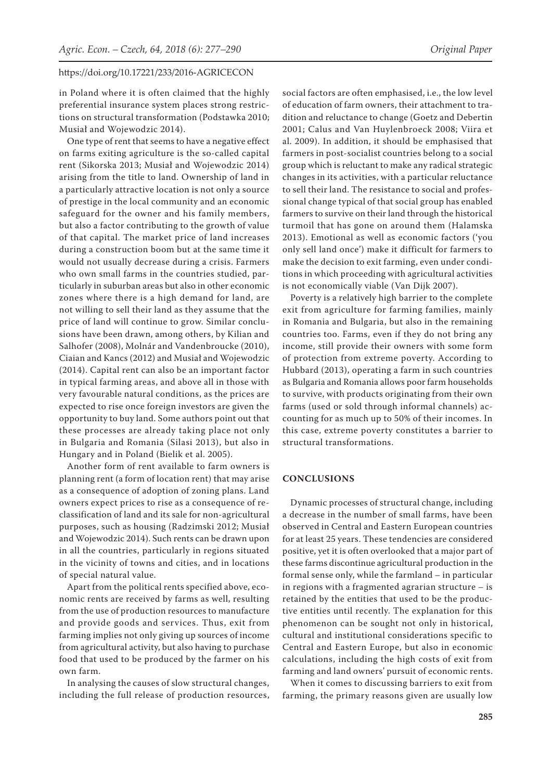in Poland where it is often claimed that the highly preferential insurance system places strong restrictions on structural transformation (Podstawka 2010; Musiał and Wojewodzic 2014).

One type of rent that seems to have a negative effect on farms exiting agriculture is the so-called capital rent (Sikorska 2013; Musiał and Wojewodzic 2014) arising from the title to land. Ownership of land in a particularly attractive location is not only a source of prestige in the local community and an economic safeguard for the owner and his family members, but also a factor contributing to the growth of value of that capital. The market price of land increases during a construction boom but at the same time it would not usually decrease during a crisis. Farmers who own small farms in the countries studied, particularly in suburban areas but also in other economic zones where there is a high demand for land, are not willing to sell their land as they assume that the price of land will continue to grow. Similar conclusions have been drawn, among others, by Kilian and Salhofer (2008), Molnár and Vandenbroucke (2010), Ciaian and Kancs (2012) and Musiał and Wojewodzic (2014). Capital rent can also be an important factor in typical farming areas, and above all in those with very favourable natural conditions, as the prices are expected to rise once foreign investors are given the opportunity to buy land. Some authors point out that these processes are already taking place not only in Bulgaria and Romania (Silasi 2013), but also in Hungary and in Poland (Bielik et al. 2005).

Another form of rent available to farm owners is planning rent (a form of location rent) that may arise as a consequence of adoption of zoning plans. Land owners expect prices to rise as a consequence of reclassification of land and its sale for non-agricultural purposes, such as housing (Radzimski 2012; Musiał and Wojewodzic 2014). Such rents can be drawn upon in all the countries, particularly in regions situated in the vicinity of towns and cities, and in locations of special natural value.

Apart from the political rents specified above, economic rents are received by farms as well, resulting from the use of production resources to manufacture and provide goods and services. Thus, exit from farming implies not only giving up sources of income from agricultural activity, but also having to purchase food that used to be produced by the farmer on his own farm.

In analysing the causes of slow structural changes, including the full release of production resources,

social factors are often emphasised, i.e., the low level of education of farm owners, their attachment to tradition and reluctance to change (Goetz and Debertin 2001; Calus and Van Huylenbroeck 2008; Viira et al. 2009). In addition, it should be emphasised that farmers in post-socialist countries belong to a social group which is reluctant to make any radical strategic changes in its activities, with a particular reluctance to sell their land. The resistance to social and professional change typical of that social group has enabled farmers to survive on their land through the historical turmoil that has gone on around them (Halamska 2013). Emotional as well as economic factors ('you only sell land once') make it difficult for farmers to make the decision to exit farming, even under conditions in which proceeding with agricultural activities is not economically viable (Van Dijk 2007).

Poverty is a relatively high barrier to the complete exit from agriculture for farming families, mainly in Romania and Bulgaria, but also in the remaining countries too. Farms, even if they do not bring any income, still provide their owners with some form of protection from extreme poverty. According to Hubbard (2013), operating a farm in such countries as Bulgaria and Romania allows poor farm households to survive, with products originating from their own farms (used or sold through informal channels) accounting for as much up to 50% of their incomes. In this case, extreme poverty constitutes a barrier to structural transformations.

#### **CONCLUSIONS**

Dynamic processes of structural change, including a decrease in the number of small farms, have been observed in Central and Eastern European countries for at least 25 years. These tendencies are considered positive, yet it is often overlooked that a major part of these farms discontinue agricultural production in the formal sense only, while the farmland – in particular in regions with a fragmented agrarian structure – is retained by the entities that used to be the productive entities until recently. The explanation for this phenomenon can be sought not only in historical, cultural and institutional considerations specific to Central and Eastern Europe, but also in economic calculations, including the high costs of exit from farming and land owners' pursuit of economic rents.

When it comes to discussing barriers to exit from farming, the primary reasons given are usually low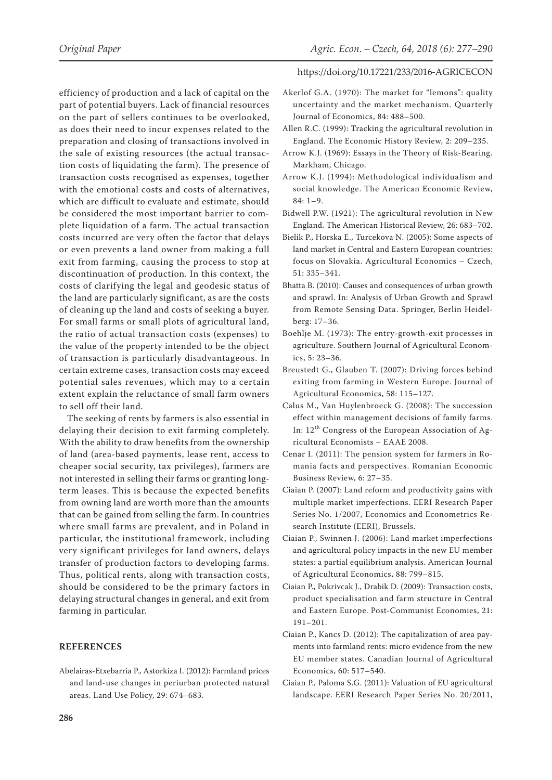efficiency of production and a lack of capital on the part of potential buyers. Lack of financial resources on the part of sellers continues to be overlooked, as does their need to incur expenses related to the preparation and closing of transactions involved in the sale of existing resources (the actual transaction costs of liquidating the farm). The presence of transaction costs recognised as expenses, together with the emotional costs and costs of alternatives, which are difficult to evaluate and estimate, should be considered the most important barrier to complete liquidation of a farm. The actual transaction costs incurred are very often the factor that delays or even prevents a land owner from making a full exit from farming, causing the process to stop at discontinuation of production. In this context, the costs of clarifying the legal and geodesic status of the land are particularly significant, as are the costs of cleaning up the land and costs of seeking a buyer. For small farms or small plots of agricultural land, the ratio of actual transaction costs (expenses) to the value of the property intended to be the object of transaction is particularly disadvantageous. In certain extreme cases, transaction costs may exceed potential sales revenues, which may to a certain extent explain the reluctance of small farm owners to sell off their land.

The seeking of rents by farmers is also essential in delaying their decision to exit farming completely. With the ability to draw benefits from the ownership of land (area-based payments, lease rent, access to cheaper social security, tax privileges), farmers are not interested in selling their farms or granting longterm leases. This is because the expected benefits from owning land are worth more than the amounts that can be gained from selling the farm. In countries where small farms are prevalent, and in Poland in particular, the institutional framework, including very significant privileges for land owners, delays transfer of production factors to developing farms. Thus, political rents, along with transaction costs, should be considered to be the primary factors in delaying structural changes in general, and exit from farming in particular.

# **REFERENCES**

Abelairas-Etxebarria P., Astorkiza I. (2012): Farmland prices and land-use changes in periurban protected natural areas. Land Use Policy, 29: 674–683.

#### https://doi.org/10.17221/233/2016-AGRICECON

- Akerlof G.A. (1970): The market for "lemons": quality uncertainty and the market mechanism. Quarterly Journal of Economics, 84: 488–500.
- Allen R.C. (1999): Tracking the agricultural revolution in England. The Economic History Review, 2: 209–235.
- Arrow K.J. (1969): Essays in the Theory of Risk-Bearing. Markham, Chicago.
- Arrow K.J. (1994): Methodological individualism and social knowledge. The American Economic Review,  $84: 1-9.$
- Bidwell P.W. (1921): The agricultural revolution in New England. The American Historical Review, 26: 683–702.
- Bielik P., Horska E., Turcekova N. (2005): Some aspects of land market in Central and Eastern European countries: focus on Slovakia. Agricultural Economics – Czech, 51: 335–341.
- Bhatta B. (2010): Causes and consequences of urban growth and sprawl. In: Analysis of Urban Growth and Sprawl from Remote Sensing Data. Springer, Berlin Heidelberg: 17–36.
- Boehlje M. (1973): The entry-growth-exit processes in agriculture. Southern Journal of Agricultural Economics, 5: 23–36.
- Breustedt G., Glauben T. (2007): Driving forces behind exiting from farming in Western Europe. Journal of Agricultural Economics, 58: 115–127.
- Calus M., Van Huylenbroeck G. (2008): The succession effect within management decisions of family farms. In: 12th Congress of the European Association of Agricultural Economists – EAAE 2008.
- Cenar I. (2011): The pension system for farmers in Romania facts and perspectives. Romanian Economic Business Review, 6: 27–35.
- Ciaian P. (2007): Land reform and productivity gains with multiple market imperfections. EERI Research Paper Series No. 1/2007, Economics and Econometrics Research Institute (EERI), Brussels.
- Ciaian P., Swinnen J. (2006): Land market imperfections and agricultural policy impacts in the new EU member states: a partial equilibrium analysis. American Journal of Agricultural Economics, 88: 799–815.
- Ciaian P., Pokrivcak J., Drabik D. (2009): Transaction costs, product specialisation and farm structure in Central and Eastern Europe. Post-Communist Economies, 21: 191–201.
- Ciaian P., Kancs D. (2012): The capitalization of area payments into farmland rents: micro evidence from the new EU member states. Canadian Journal of Agricultural Economics, 60: 517–540.
- Ciaian P., Paloma S.G. (2011): Valuation of EU agricultural landscape. EERI Research Paper Series No. 20/2011,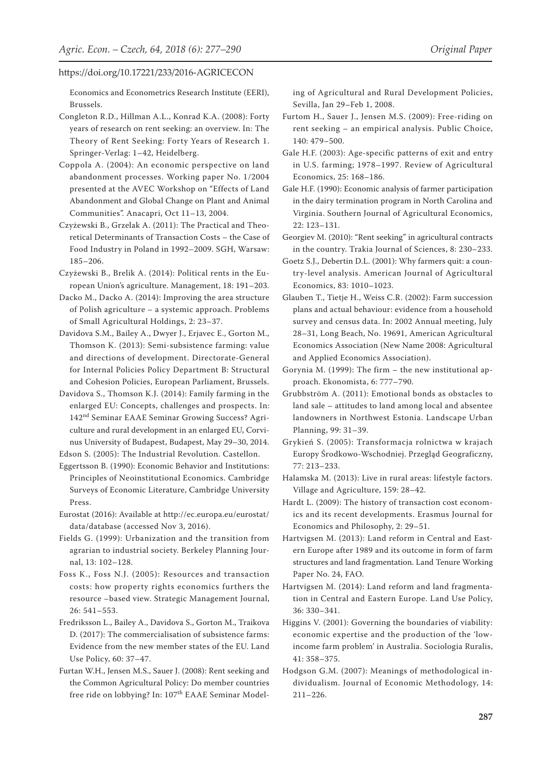Economics and Econometrics Research Institute (EERI), Brussels.

- Congleton R.D., Hillman A.L., Konrad K.A. (2008): Forty years of research on rent seeking: an overview. In: The Theory of Rent Seeking: Forty Years of Research 1. Springer-Verlag: 1–42, Heidelberg.
- Coppola A. (2004): An economic perspective on land abandonment processes. Working paper No. 1/2004 presented at the AVEC Workshop on "Effects of Land Abandonment and Global Change on Plant and Animal Communities". Anacapri, Oct 11–13, 2004.
- Czyżewski B., Grzelak A. (2011): The Practical and Theoretical Determinants of Transaction Costs – the Case of Food Industry in Poland in 1992–2009. SGH, Warsaw: 185–206.
- Czyżewski B., Brelik A. (2014): Political rents in the European Union's agriculture. Management, 18: 191–203.
- Dacko M., Dacko A. (2014): Improving the area structure of Polish agriculture – a systemic approach. Problems of Small Agricultural Holdings, 2: 23–37.
- Davidova S.M., Bailey A., Dwyer J., Erjavec E., Gorton M., Thomson K. (2013): Semi-subsistence farming: value and directions of development. Directorate-General for Internal Policies Policy Department B: Structural and Cohesion Policies, European Parliament, Brussels.
- Davidova S., Thomson K.J. (2014): Family farming in the enlarged EU: Concepts, challenges and prospects. In: 142<sup>nd</sup> Seminar EAAE Seminar Growing Success? Agriculture and rural development in an enlarged EU, Corvinus University of Budapest, Budapest, May 29–30, 2014.

Edson S. (2005): The Industrial Revolution. Castellon.

- Eggertsson B. (1990): Economic Behavior and Institutions: Principles of Neoinstitutional Economics. Cambridge Surveys of Economic Literature, Cambridge University Press.
- Eurostat (2016): Available at http://ec.europa.eu/eurostat/ data/database (accessed Nov 3, 2016).
- Fields G. (1999): Urbanization and the transition from agrarian to industrial society. Berkeley Planning Journal, 13: 102–128.
- Foss K., Foss N.J. (2005): Resources and transaction costs: how property rights economics furthers the resource –based view. Strategic Management Journal, 26: 541–553.
- Fredriksson L., Bailey A., Davidova S., Gorton M., Traikova D. (2017): The commercialisation of subsistence farms: Evidence from the new member states of the EU. Land Use Policy, 60: 37–47.
- Furtan W.H., Jensen M.S., Sauer J. (2008): Rent seeking and the Common Agricultural Policy: Do member countries free ride on lobbying? In: 107<sup>th</sup> EAAE Seminar Model-

ing of Agricultural and Rural Development Policies, Sevilla, Jan 29–Feb 1, 2008.

- Furtom H., Sauer J., Jensen M.S. (2009): Free-riding on rent seeking – an empirical analysis. Public Choice, 140: 479–500.
- Gale H.F. (2003): Age-specific patterns of exit and entry in U.S. farming; 1978–1997. Review of Agricultural Economics, 25: 168–186.
- Gale H.F. (1990): Economic analysis of farmer participation in the dairy termination program in North Carolina and Virginia. Southern Journal of Agricultural Economics, 22: 123–131.
- Georgiev M. (2010): "Rent seeking" in agricultural contracts in the country. Trakia Journal of Sciences, 8: 230–233.
- Goetz S.J., Debertin D.L. (2001): Why farmers quit: a country-level analysis. American Journal of Agricultural Economics, 83: 1010–1023.
- Glauben T., Tietje H., Weiss C.R. (2002): Farm succession plans and actual behaviour: evidence from a household survey and census data. In: 2002 Annual meeting, July 28–31, Long Beach, No. 19691, American Agricultural Economics Association (New Name 2008: Agricultural and Applied Economics Association).
- Gorynia M. (1999): The firm the new institutional approach. Ekonomista, 6: 777–790.
- Grubbström A. (2011): Emotional bonds as obstacles to land sale – attitudes to land among local and absentee landowners in Northwest Estonia. Landscape Urban Planning, 99: 31–39.
- Grykień S. (2005): Transformacja rolnictwa w krajach Europy Środkowo-Wschodniej. Przegląd Geograficzny, 77: 213–233.
- Halamska M. (2013): Live in rural areas: lifestyle factors. Village and Agriculture, 159: 28–42.
- Hardt L. (2009): The history of transaction cost economics and its recent developments. Erasmus Journal for Economics and Philosophy, 2: 29–51.
- Hartvigsen M. (2013): Land reform in Central and Eastern Europe after 1989 and its outcome in form of farm structures and land fragmentation. Land Tenure Working Paper No. 24, FAO.
- Hartvigsen M. (2014): Land reform and land fragmentation in Central and Eastern Europe. Land Use Policy, 36: 330–341.
- Higgins V. (2001): Governing the boundaries of viability: economic expertise and the production of the 'lowincome farm problem' in Australia. Sociologia Ruralis, 41: 358–375.
- Hodgson G.M. (2007): Meanings of methodological individualism. Journal of Economic Methodology, 14: 211–226.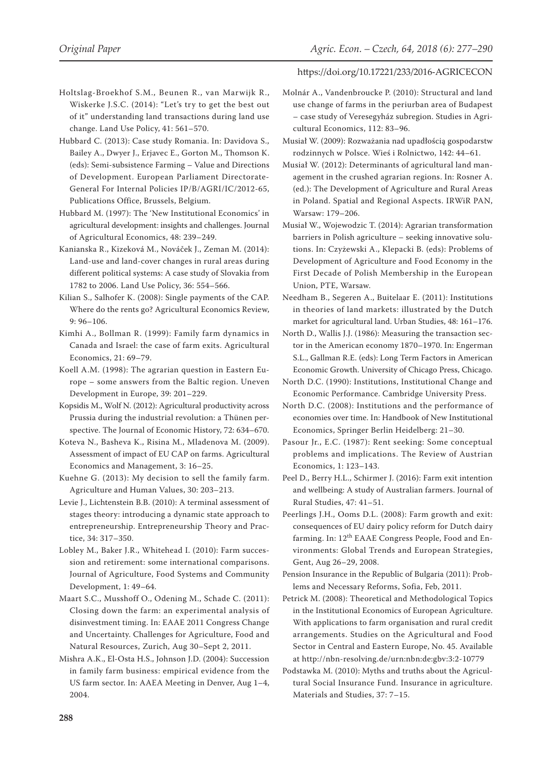- Holtslag-Broekhof S.M., Beunen R., van Marwijk R., Wiskerke J.S.C. (2014): "Let's try to get the best out of it" understanding land transactions during land use change. Land Use Policy, 41: 561–570.
- Hubbard C. (2013): Case study Romania. In: Davidova S., Bailey A., Dwyer J., Erjavec E., Gorton M., Thomson K. (eds): Semi-subsistence Farming – Value and Directions of Development. European Parliament Directorate-General For Internal Policies IP/B/AGRI/IC/2012-65, Publications Office, Brussels, Belgium.
- Hubbard M. (1997): The 'New Institutional Economics' in agricultural development: insights and challenges. Journal of Agricultural Economics, 48: 239–249.
- Kanianska R., Kizeková M., Nováček J., Zeman M. (2014): Land-use and land-cover changes in rural areas during different political systems: A case study of Slovakia from 1782 to 2006. Land Use Policy, 36: 554–566.
- Kilian S., Salhofer K. (2008): Single payments of the CAP. Where do the rents go? Agricultural Economics Review, 9: 96–106.
- Kimhi A., Bollman R. (1999): Family farm dynamics in Canada and Israel: the case of farm exits. Agricultural Economics, 21: 69–79.
- Koell A.M. (1998): The agrarian question in Eastern Europe – some answers from the Baltic region. Uneven Development in Europe, 39: 201–229.
- Kopsidis M., Wolf N. (2012): Agricultural productivity across Prussia during the industrial revolution: a Thünen perspective. The Journal of Economic History, 72: 634–670.
- Koteva N., Basheva K., Risina M., Mladenova M. (2009). Assessment of impact of EU CAP on farms. Agricultural Economics and Management, 3: 16–25.
- Kuehne G. (2013): My decision to sell the family farm. Agriculture and Human Values, 30: 203–213.
- Levie J., Lichtenstein B.B. (2010): A terminal assessment of stages theory: introducing a dynamic state approach to entrepreneurship. Entrepreneurship Theory and Practice, 34: 317–350.
- Lobley M., Baker J.R., Whitehead I. (2010): Farm succession and retirement: some international comparisons. Journal of Agriculture, Food Systems and Community Development, 1: 49–64.
- Maart S.C., Musshoff O., Odening M., Schade C. (2011): Closing down the farm: an experimental analysis of disinvestment timing. In: EAAE 2011 Congress Change and Uncertainty. Challenges for Agriculture, Food and Natural Resources, Zurich, Aug 30–Sept 2, 2011.
- Mishra A.K., El-Osta H.S., Johnson J.D. (2004): Succession in family farm business: empirical evidence from the US farm sector. In: AAEA Meeting in Denver, Aug 1–4, 2004.

- Molnár A., Vandenbroucke P. (2010): Structural and land use change of farms in the periurban area of Budapest – case study of Veresegyház subregion. Studies in Agricultural Economics, 112: 83–96.
- Musiał W. (2009): Rozważania nad upadłością gospodarstw rodzinnych w Polsce. Wieś i Rolnictwo, 142: 44–61.
- Musiał W. (2012): Determinants of agricultural land management in the crushed agrarian regions. In: Rosner A. (ed.): The Development of Agriculture and Rural Areas in Poland. Spatial and Regional Aspects. IRWiR PAN, Warsaw: 179–206.
- Musiał W., Wojewodzic T. (2014): Agrarian transformation barriers in Polish agriculture – seeking innovative solutions. In: Czyżewski A., Klepacki B. (eds): Problems of Development of Agriculture and Food Economy in the First Decade of Polish Membership in the European Union, PTE, Warsaw.
- Needham B., Segeren A., Buitelaar E. (2011): Institutions in theories of land markets: illustrated by the Dutch market for agricultural land. Urban Studies, 48: 161–176.
- North D., Wallis J.J. (1986): Measuring the transaction sector in the American economy 1870–1970. In: Engerman S.L., Gallman R.E. (eds): Long Term Factors in American Economic Growth. University of Chicago Press, Chicago.
- North D.C. (1990): Institutions, Institutional Change and Economic Performance. Cambridge University Press.
- North D.C. (2008): Institutions and the performance of economies over time. In: Handbook of New Institutional Economics, Springer Berlin Heidelberg: 21–30.
- Pasour Jr., E.C. (1987): Rent seeking: Some conceptual problems and implications. The Review of Austrian Economics, 1: 123–143.
- Peel D., Berry H.L., Schirmer J. (2016): Farm exit intention and wellbeing: A study of Australian farmers. Journal of Rural Studies, 47: 41–51.
- Peerlings J.H., Ooms D.L. (2008): Farm growth and exit: consequences of EU dairy policy reform for Dutch dairy farming. In: 12<sup>th</sup> EAAE Congress People, Food and Environments: Global Trends and European Strategies, Gent, Aug 26–29, 2008.
- Pension Insurance in the Republic of Bulgaria (2011): Problems and Necessary Reforms, Sofia, Feb, 2011.
- Petrick M. (2008): Theoretical and Methodological Topics in the Institutional Economics of European Agriculture. With applications to farm organisation and rural credit arrangements. Studies on the Agricultural and Food Sector in Central and Eastern Europe, No. 45. Available at http://nbn-resolving.de/urn:nbn:de:gbv:3:2-10779
- Podstawka M. (2010): Myths and truths about the Agricultural Social Insurance Fund. Insurance in agriculture. Materials and Studies, 37: 7–15.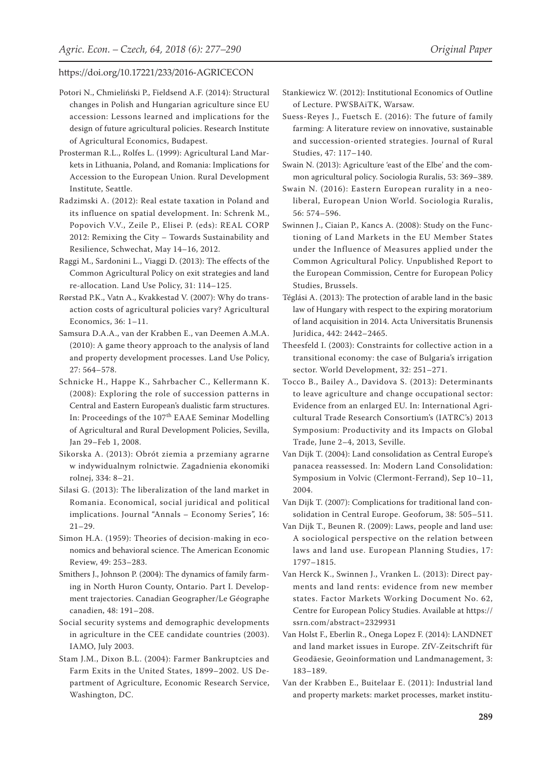- Potori N., Chmieliński P., Fieldsend A.F. (2014): Structural changes in Polish and Hungarian agriculture since EU accession: Lessons learned and implications for the design of future agricultural policies. Research Institute of Agricultural Economics, Budapest.
- Prosterman R.L., Rolfes L. (1999): Agricultural Land Markets in Lithuania, Poland, and Romania: Implications for Accession to the European Union. Rural Development Institute, Seattle.
- Radzimski A. (2012): Real estate taxation in Poland and its influence on spatial development. In: Schrenk M., Popovich V.V., Zeile P., Elisei P. (eds): REAL CORP 2012: Remixing the City – Towards Sustainability and Resilience, Schwechat, May 14–16, 2012.
- Raggi M., Sardonini L., Viaggi D. (2013): The effects of the Common Agricultural Policy on exit strategies and land re-allocation. Land Use Policy, 31: 114–125.
- Rørstad P.K., Vatn A., Kvakkestad V. (2007): Why do transaction costs of agricultural policies vary? Agricultural Economics, 36: 1–11.
- Samsura D.A.A., van der Krabben E., van Deemen A.M.A. (2010): A game theory approach to the analysis of land and property development processes. Land Use Policy, 27: 564–578.
- Schnicke H., Happe K., Sahrbacher C., Kellermann K. (2008): Exploring the role of succession patterns in Central and Eastern European's dualistic farm structures. In: Proceedings of the 107<sup>th</sup> EAAE Seminar Modelling of Agricultural and Rural Development Policies, Sevilla, Jan 29–Feb 1, 2008.
- Sikorska A. (2013): Obrót ziemia a przemiany agrarne w indywidualnym rolnictwie. Zagadnienia ekonomiki rolnej, 334: 8–21.
- Silasi G. (2013): The liberalization of the land market in Romania. Economical, social juridical and political implications. Journal "Annals – Economy Series", 16:  $21 - 29.$
- Simon H.A. (1959): Theories of decision-making in economics and behavioral science. The American Economic Review, 49: 253–283.
- Smithers J., Johnson P. (2004): The dynamics of family farming in North Huron County, Ontario. Part I. Development trajectories. Canadian Geographer/Le Géographe canadien, 48: 191–208.
- Social security systems and demographic developments in agriculture in the CEE candidate countries (2003). IAMO, July 2003.
- Stam J.M., Dixon B.L. (2004): Farmer Bankruptcies and Farm Exits in the United States, 1899–2002. US Department of Agriculture, Economic Research Service, Washington, DC.
- Stankiewicz W. (2012): Institutional Economics of Outline of Lecture. PWSBAiTK, Warsaw.
- Suess-Reyes J., Fuetsch E. (2016): The future of family farming: A literature review on innovative, sustainable and succession-oriented strategies. Journal of Rural Studies, 47: 117–140.
- Swain N. (2013): Agriculture 'east of the Elbe' and the common agricultural policy. Sociologia Ruralis, 53: 369–389.
- Swain N. (2016): Eastern European rurality in a neoliberal, European Union World. Sociologia Ruralis, 56: 574–596.
- Swinnen J., Ciaian P., Kancs A. (2008): Study on the Functioning of Land Markets in the EU Member States under the Influence of Measures applied under the Common Agricultural Policy. Unpublished Report to the European Commission, Centre for European Policy Studies, Brussels.
- Téglási A. (2013): The protection of arable land in the basic law of Hungary with respect to the expiring moratorium of land acquisition in 2014. Acta Universitatis Brunensis Juridica, 442: 2442–2465.
- Theesfeld I. (2003): Constraints for collective action in a transitional economy: the case of Bulgaria's irrigation sector. World Development, 32: 251–271.
- Tocco B., Bailey A., Davidova S. (2013): Determinants to leave agriculture and change occupational sector: Evidence from an enlarged EU. In: International Agricultural Trade Research Consortium's (IATRC's) 2013 Symposium: Productivity and its Impacts on Global Trade, June 2–4, 2013, Seville.
- Van Dijk T. (2004): Land consolidation as Central Europe's panacea reassessed. In: Modern Land Consolidation: Symposium in Volvic (Clermont-Ferrand), Sep 10–11, 2004.
- Van Dijk T. (2007): Complications for traditional land consolidation in Central Europe. Geoforum, 38: 505–511.
- Van Dijk T., Beunen R. (2009): Laws, people and land use: A sociological perspective on the relation between laws and land use. European Planning Studies, 17: 1797–1815.
- Van Herck K., Swinnen J., Vranken L. (2013): Direct payments and land rents: evidence from new member states. Factor Markets Working Document No. 62, Centre for European Policy Studies. Available at https:// ssrn.com/abstract=2329931
- Van Holst F., Eberlin R., Onega Lopez F. (2014): LANDNET and land market issues in Europe. ZfV-Zeitschrift für Geodäesie, Geoinformation und Landmanagement, 3: 183–189.
- Van der Krabben E., Buitelaar E. (2011): Industrial land and property markets: market processes, market institu-